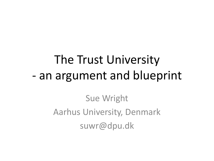### The Trust University - an argument and blueprint

Sue Wright Aarhus University, Denmark suwr@dpu.dk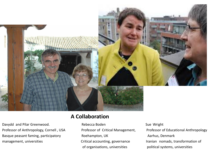

Davydd and Pilar Greenwood. The Rebecca Boden Sue Wright Sue Wright Professor of Anthropology, Cornell, USA Professor of Critical Management, Professor of Educational Anthropology Basque peasant faming, participatory **Roehampton, UK** Aarhus, Denmark management, universities metallieral critical accounting, governance and iranian nomads, transformation of

#### **A Collaboration**

of organisations, universities political systems, universities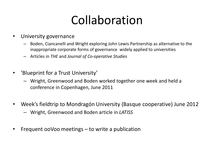### Collaboration

- University governance
	- Boden, Ciancanelli and Wright exploring John Lewis Partnership as alternative to the inappropriate corporate forms of governance widely applied to universities
	- Articles in *THE* and *Journal of Co-operative Studies*
- 'Blueprint for a Trust University'
	- Wright, Greenwood and Boden worked together one week and held a conference in Copenhagen, June 2011
- Week's fieldtrip to Mondragón University (Basque cooperative) June 2012
	- Wright, Greenwood and Boden article in *LATISS*
- Frequent ooVoo meetings to write a publication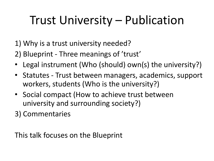### Trust University – Publication

- 1) Why is a trust university needed?
- 2) Blueprint Three meanings of 'trust'
- Legal instrument (Who (should) own(s) the university?)
- Statutes Trust between managers, academics, support workers, students (Who is the university?)
- Social compact (How to achieve trust between university and surrounding society?)
- 3) Commentaries

This talk focuses on the Blueprint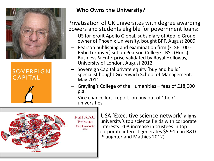

**SOVEREIGN CAPITAL** 

#### **Who Owns the University?**

• Privatisation of UK universites with degree awarding powers and students eligible for povernment loans:

- US for-profit Apollo Global, subsidiary of Apollo Group, owner of Phoenix University, bought BPP, August 2009
- Pearson publishing and examination firm (FTSE 100 £5bn turnover) set up Pearson College - BSc (Hons) Business & Enterprise validated by Royal Holloway, University of London, August 2012
- Sovereign Capital private equity 'buy and build' specialist bought Greenwich School of Management. May 2011
- Grayling's College of the Humanities fees of £18,000 p.a.
- Vice chancellors' report on buy out of 'their' universities



 $_{\text{Full AAU}}$  USA 'Executive science network' aligns university's top science fields with corporate interests -1% increase in trustees in top corporate interest generates \$5.91m in R&D (Slaughter and Mathies 2012)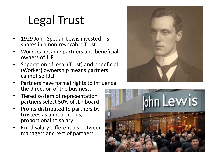# Legal Trust

- 1929 John Spedan Lewis invested his shares in a non-revocable Trust.
- Workers became partners and beneficial owners of JLP
- Separation of legal (Trust) and beneficial (Worker) ownership means partners cannot sell JLP
- Partners have formal rights to influence the direction of the business.
- Tiered system of representation  $$ partners select 50% of JLP board
- Profits distributed to partners by trustees as annual bonus, proportional to salary
- Fixed salary differentials between managers and rest of partners



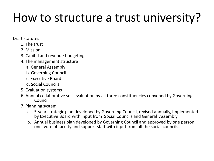#### How to structure a trust university?

#### Draft statutes

- 1. The trust
- 2. Mission
- 3. Capital and revenue budgeting
- 4. The management structure
	- a. General Assembly
	- b. Governing Council
	- c. Executive Board
	- d. Social Councils
- 5. Evaluation systems
- 6. Annual collaborative self-evaluation by all three constituencies convened by Governing Council
- 7. Planning system
	- a. 5-year strategic plan developed by Governing Council, revised annually, implemented by Executive Board with input from Social Councils and General Assembly
	- b. Annual business plan developed by Governing Council and approved by one person one vote of faculty and support staff with input from all the social councils.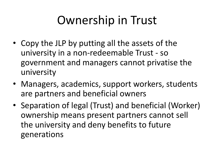### Ownership in Trust

- Copy the JLP by putting all the assets of the university in a non-redeemable Trust - so government and managers cannot privatise the university
- Managers, academics, support workers, students are partners and beneficial owners
- Separation of legal (Trust) and beneficial (Worker) ownership means present partners cannot sell the university and deny benefits to future generations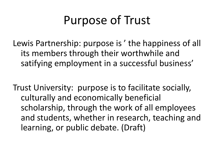### Purpose of Trust

Lewis Partnership: purpose is ' the happiness of all its members through their worthwhile and satifying employment in a successful business'

Trust University: purpose is to facilitate socially, culturally and economically beneficial scholarship, through the work of all employees and students, whether in research, teaching and learning, or public debate. (Draft)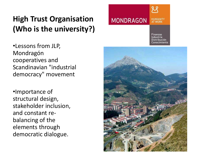#### **High Trust Organisation (Who is the university?)**

•Lessons from JLP, Mondragón cooperatives and Scandinavian "industrial democracy" movement

•Importance of structural design, stakeholder inclusion, and constant rebalancing of the elements through democratic dialogue.



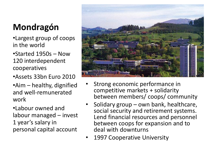#### **Mondragón**

- •Largest group of coops in the world
- •Started 1950s Now 120 interdependent cooperatives
- •Assets 33bn Euro 2010
- •Aim healthy, dignified and well-remunerated work
- •Labour owned and labour managed – invest 1 year's salary in personal capital account



- Strong economic performance in competitive markets + solidarity between members/ coops/ community
- Solidary group own bank, healthcare, social security and retirement systems. Lend financial resources and personnel between coops for expansion and to deal with downturns
- 1997 Cooperative University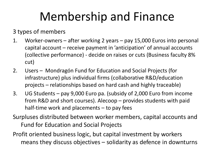### Membership and Finance

3 types of members

- 1. Worker-owners after working 2 years pay 15,000 Euros into personal capital account – receive payment in 'anticipation' of annual accounts (collective performance) - decide on raises or cuts (Business faculty 8% cut)
- 2. Users Mondragón Fund for Education and Social Projects (for infrastructure) plus individual firms (collaborative R&D/education projects – relationships based on hard cash and highly traceable)
- 3. UG Students pay 9,000 Euro pa. (subsidy of 2,000 Euro from income from R&D and short courses). Alecoop – provides students with paid half-time work and placements – to pay fees
- Surpluses distributed between worker members, capital accounts and Fund for Education and Social Projects
- Profit oriented business logic, but capital investment by workers means they discuss objectives – solidarity as defence in downturns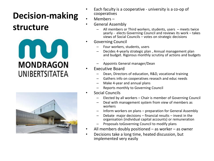#### **Decision-making**

#### **structure**





- Each faculty is a cooperative university is a co-op of cooperatives
- Members –
- General Assembly
	- All members or Third workers, students, users meets twice yearly - elects Governing Council and reviews its work – takes views of Social Councils – votes on strategic decisions
- Governing Council
	- Four workers, students, users
	- Decides 4-yearly strategic plan , Annual management plan and budget. Rigorous monthly scrutiny of actions and budgets .
	- Appoints General manager/Dean
- Executive Board
	- Dean, Directors of education, R&D, vocational training
	- Gathers info on cooperatives reseach and educ needs
	- Make 4-year and annual plans
	- Reports monthly to Governing Council
- Social Councils
	- Elected by all workers Chair is member of Governing Council
	- Deal with management system from view of members as workers
	- Inform workers on plans preparation for General Assembly
	- Debate major decisions financial results invest in the organisation (individual capital accounts) or remuneration
	- Proposals toGoverning Council to modify plans
- All members doubly positioned  $-$  as worker  $-$  as owner
- Decisions take a long time, heated discussion, but implemented very easily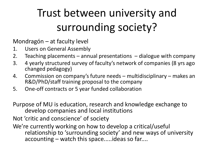#### Trust between university and surrounding society?

Mondragón – at faculty level

- 1. Users on General Assembly
- 2. Teaching placements annual presentations dialogue with company
- 3. 4 yearly structured survey of faculty's network of companies (8 yrs ago changed pedagogy)
- 4. Commission on company's future needs multidisciplinary makes an R&D/PhD/staff training proposal to the company
- 5. One-off contracts or 5 year funded collaboration

Purpose of MU is education, research and knowledge exchange to develop companies and local institutions

Not 'critic and conscience' of society

We're currently working on how to develop a critical/useful relationship to 'surrounding society' and new ways of university accounting – watch this space.....ideas so far....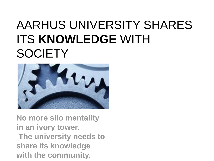### AARHUS UNIVERSITY SHARES ITS **KNOWLEDGE** WITH **SOCIETY**



**No more silo mentality in an ivory tower. The university needs to share its knowledge with the community.**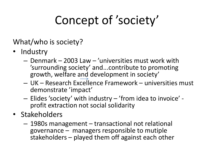# Concept of 'society'

#### What/who is society?

- Industry
	- Denmark 2003 Law 'universities must work with 'surrounding society' and...contribute to promoting growth, welfare and development in society'
	- UK Research Excellence Framework universities must demonstrate 'impact'
	- Elides 'society' with industry 'from idea to invoice' profit extraction not social solidarity
- Stakeholders
	- 1980s management transactional not relational governance – managers responsible to mutiple stakeholders – played them off against each other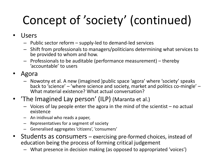# Concept of 'society' (continued)

- Users
	- Public sector reform supply-led to demand-led services
	- Shift from professionals to managers/politicians determining what services to be provided to whom and how.
	- Professionals to be auditable (performance measurement) thereby 'accountable' to users
- Agora
	- Nowotny et al. A new (imagined )public space 'agora' where 'society' speaks back to 'science' – 'where science and society, market and politics co-mingle' – What material existence? What actual conversation?
- 'The Imagined Lay person' (ILP) (Maranta et al.)
	- Voices of lay people enter the agora in the mind of the scientist no actual existence
	- An inidivual who reads a paper,
	- Representatives for a segment of society
	- Generalised aggregates 'citizens', 'consumers'
- Students as consumers exercising pre-formed choices, instead of education being the process of forming critical judgement
	- What presence in decision making (as opposed to appropriated 'voices')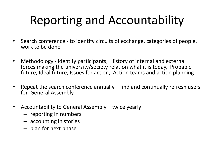# Reporting and Accountability

- Search conference to identify circuits of exchange, categories of people, work to be done
- Methodology identify participants, History of internal and external forces making the university/society relation what it is today, Probable future, Ideal future, Issues for action, Action teams and action planning
- Repeat the search conference annually find and continually refresh users for General Assembly
- Accountability to General Assembly twice yearly
	- reporting in numbers
	- accounting in stories
	- plan for next phase